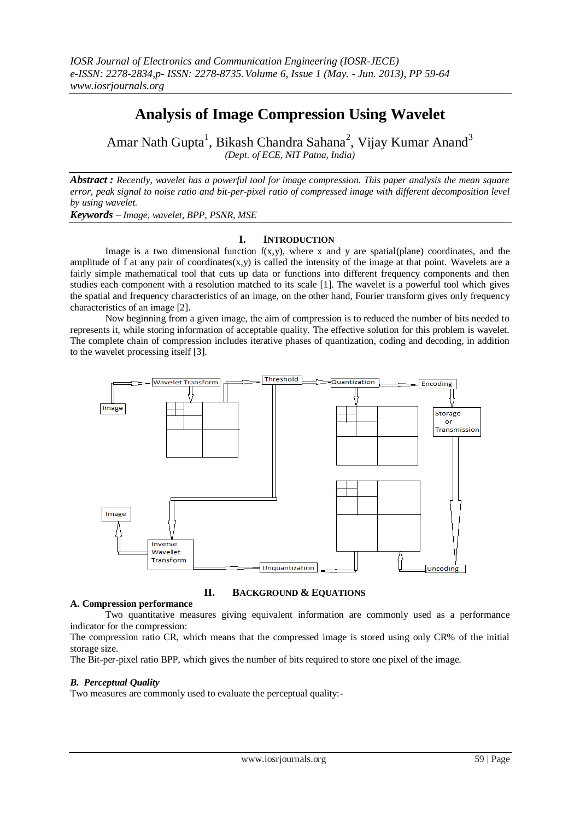# **Analysis of Image Compression Using Wavelet**

Amar Nath Gupta<sup>1</sup>, Bikash Chandra Sahana<sup>2</sup>, Vijay Kumar Anand<sup>3</sup> *(Dept. of ECE, NIT Patna, India)* 

*Abstract : Recently, wavelet has a powerful tool for image compression. This paper analysis the mean square error, peak signal to noise ratio and bit-per-pixel ratio of compressed image with different decomposition level by using wavelet.*

*Keywords – Image, wavelet, BPP, PSNR, MSE*

# **I. INTRODUCTION**

Image is a two dimensional function  $f(x,y)$ , where x and y are spatial(plane) coordinates, and the amplitude of f at any pair of coordinates(x,y) is called the intensity of the image at that point. Wavelets are a fairly simple mathematical tool that cuts up data or functions into different frequency components and then studies each component with a resolution matched to its scale [1]. The wavelet is a powerful tool which gives the spatial and frequency characteristics of an image, on the other hand, Fourier transform gives only frequency characteristics of an image [2].

Now beginning from a given image, the aim of compression is to reduced the number of bits needed to represents it, while storing information of acceptable quality. The effective solution for this problem is wavelet. The complete chain of compression includes iterative phases of quantization, coding and decoding, in addition to the wavelet processing itself [3].



**II. BACKGROUND & EQUATIONS**

## **A. Compression performance**

Two quantitative measures giving equivalent information are commonly used as a performance indicator for the compression:

The compression ratio CR, which means that the compressed image is stored using only CR% of the initial storage size.

The Bit-per-pixel ratio BPP, which gives the number of bits required to store one pixel of the image.

## *B. Perceptual Quality*

Two measures are commonly used to evaluate the perceptual quality:-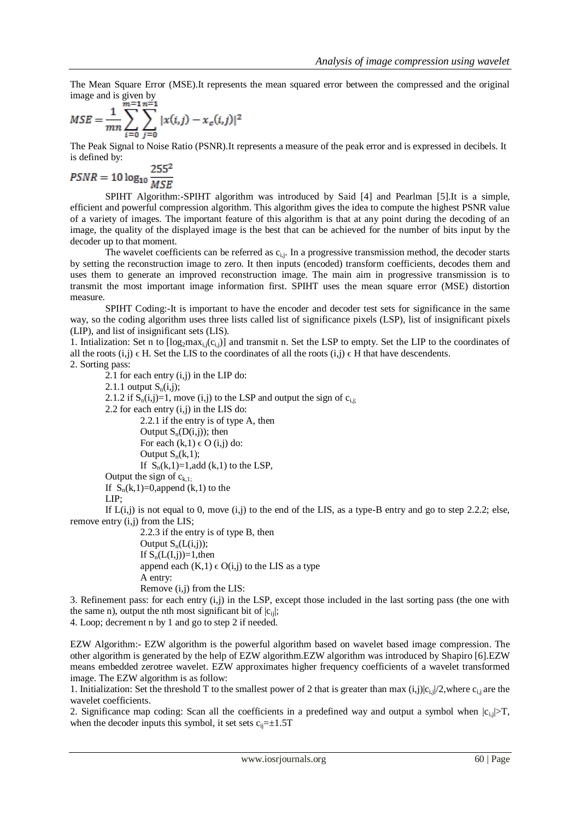The Mean Square Error (MSE).It represents the mean squared error between the compressed and the original image and is given by

$$
MSE = \frac{1}{mn} \sum_{i=0}^{m-1} \sum_{j=0}^{n-1} |x(i,j) - x_c(i,j)|^2
$$

The Peak Signal to Noise Ratio (PSNR).It represents a measure of the peak error and is expressed in decibels. It is defined by:

$$
PSNR = 10 \log_{10} \frac{255^2}{MSE}
$$

SPIHT Algorithm:-SPIHT algorithm was introduced by Said [4] and Pearlman [5].It is a simple, efficient and powerful compression algorithm. This algorithm gives the idea to compute the highest PSNR value of a variety of images. The important feature of this algorithm is that at any point during the decoding of an image, the quality of the displayed image is the best that can be achieved for the number of bits input by the decoder up to that moment.

The wavelet coefficients can be referred as  $c_{i,j}$ . In a progressive transmission method, the decoder starts by setting the reconstruction image to zero. It then inputs (encoded) transform coefficients, decodes them and uses them to generate an improved reconstruction image. The main aim in progressive transmission is to transmit the most important image information first. SPIHT uses the mean square error (MSE) distortion measure.

SPIHT Coding:-It is important to have the encoder and decoder test sets for significance in the same way, so the coding algorithm uses three lists called list of significance pixels (LSP), list of insignificant pixels (LIP), and list of insignificant sets (LIS).

1. Intialization: Set n to  $\lceil \log_2 \max_{i,j}(c_{i,j}) \rceil$  and transmit n. Set the LSP to empty. Set the LIP to the coordinates of all the roots  $(i,j) \in H$ . Set the LIS to the coordinates of all the roots  $(i,j) \in H$  that have descendents.

2. Sorting pass:

2.1 for each entry  $(i, j)$  in the LIP do: 2.1.1 output  $S_n(i,j)$ ; 2.1.2 if  $S_n(i,j)=1$ , move  $(i,j)$  to the LSP and output the sign of  $c_{i,j}$ ; 2.2 for each entry  $(i,j)$  in the LIS do: 2.2.1 if the entry is of type A, then Output  $S_n(D(i,j))$ ; then For each  $(k,1) \in O(i,j)$  do: Output  $S_n(k,1)$ ; If  $S_n(k,1)=1$ , add  $(k,1)$  to the LSP, Output the sign of  $c_{k,1}$ ; If  $S_n(k,1)=0$ , append  $(k,1)$  to the LIP; If  $L(i,j)$  is not equal to 0, move  $(i,j)$  to the end of the LIS, as a type-B entry and go to step 2.2.2; else, remove entry (i,j) from the LIS; 2.2.3 if the entry is of type B, then

Output  $S_n(L(i,j))$ ; If  $S_n(L(I,i))=1$ , then append each  $(K,1) \in O(i,j)$  to the LIS as a type A entry: Remove (i,j) from the LIS:

3. Refinement pass: for each entry  $(i, j)$  in the LSP, except those included in the last sorting pass (the one with the same n), output the nth most significant bit of  $|c_{ii}|$ ;

4. Loop; decrement n by 1 and go to step 2 if needed.

EZW Algorithm:- EZW algorithm is the powerful algorithm based on wavelet based image compression. The other algorithm is generated by the help of EZW algorithm.EZW algorithm was introduced by Shapiro [6].EZW means embedded zerotree wavelet. EZW approximates higher frequency coefficients of a wavelet transformed image. The EZW algorithm is as follow:

1. Initialization: Set the threshold T to the smallest power of 2 that is greater than max  $(i,j)|c_{i,j}|/2$ , where  $c_{i,j}$  are the wavelet coefficients.

2. Significance map coding: Scan all the coefficients in a predefined way and output a symbol when  $|c_{i,j}| > T$ , when the decoder inputs this symbol, it set sets  $c_{ij} = \pm 1.5T$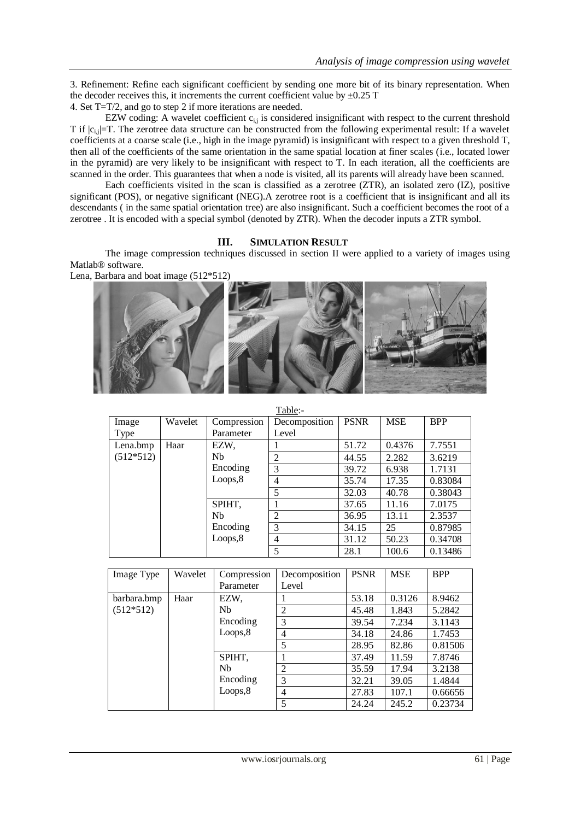3. Refinement: Refine each significant coefficient by sending one more bit of its binary representation. When the decoder receives this, it increments the current coefficient value by  $\pm 0.25$  T

4. Set T=T/2, and go to step 2 if more iterations are needed.

EZW coding: A wavelet coefficient  $c_{i,j}$  is considered insignificant with respect to the current threshold T if  $|c_{i,j}|$ =T. The zerotree data structure can be constructed from the following experimental result: If a wavelet coefficients at a coarse scale (i.e., high in the image pyramid) is insignificant with respect to a given threshold T, then all of the coefficients of the same orientation in the same spatial location at finer scales (i.e., located lower in the pyramid) are very likely to be insignificant with respect to T. In each iteration, all the coefficients are scanned in the order. This guarantees that when a node is visited, all its parents will already have been scanned.

Each coefficients visited in the scan is classified as a zerotree (ZTR), an isolated zero (IZ), positive significant (POS), or negative significant (NEG). A zerotree root is a coefficient that is insignificant and all its descendants ( in the same spatial orientation tree) are also insignificant. Such a coefficient becomes the root of a zerotree . It is encoded with a special symbol (denoted by ZTR). When the decoder inputs a ZTR symbol.

# **III. SIMULATION RESULT**

The image compression techniques discussed in section II were applied to a variety of images using Matlab® software.





 $T_0$ ble:

| Image                   | Wavelet | Compression                                            | Decomposition  | <b>PSNR</b> | <b>MSE</b> | <b>BPP</b> |
|-------------------------|---------|--------------------------------------------------------|----------------|-------------|------------|------------|
| Type                    |         | Parameter                                              | Level          |             |            |            |
| Lena.bmp<br>$(512*512)$ | Haar    | EZW,                                                   |                | 51.72       | 0.4376     | 7.7551     |
|                         |         | <b>N<sub>b</sub></b><br>Encoding<br>Loops, 8           | 2              | 44.55       | 2.282      | 3.6219     |
|                         |         |                                                        | 3              | 39.72       | 6.938      | 1.7131     |
|                         |         |                                                        | $\overline{4}$ | 35.74       | 17.35      | 0.83084    |
|                         |         |                                                        | 5              | 32.03       | 40.78      | 0.38043    |
|                         |         | SPIHT,<br><b>N<sub>b</sub></b><br>Encoding<br>Loops, 8 |                | 37.65       | 11.16      | 7.0175     |
|                         |         |                                                        | 2              | 36.95       | 13.11      | 2.3537     |
|                         |         |                                                        | 3              | 34.15       | 25         | 0.87985    |
|                         |         |                                                        | $\overline{4}$ | 31.12       | 50.23      | 0.34708    |
|                         |         |                                                        | 5              | 28.1        | 100.6      | 0.13486    |

| Image Type  | Wavelet | Compression<br>Parameter | Decomposition<br>Level | <b>PSNR</b> | <b>MSE</b> | <b>BPP</b> |
|-------------|---------|--------------------------|------------------------|-------------|------------|------------|
| barbara.bmp | Haar    | EZW,                     |                        | 53.18       | 0.3126     | 8.9462     |
| $(512*512)$ |         | Nb                       | 2                      | 45.48       | 1.843      | 5.2842     |
|             |         | Encoding                 | 3                      | 39.54       | 7.234      | 3.1143     |
|             |         | Loops, 8                 | 4                      | 34.18       | 24.86      | 1.7453     |
|             |         |                          | 5                      | 28.95       | 82.86      | 0.81506    |
|             |         | SPIHT,                   |                        | 37.49       | 11.59      | 7.8746     |
|             |         | Nb                       | $\overline{2}$         | 35.59       | 17.94      | 3.2138     |
|             |         | Encoding<br>Loops,8      | 3                      | 32.21       | 39.05      | 1.4844     |
|             |         |                          | 4                      | 27.83       | 107.1      | 0.66656    |
|             |         |                          | 5                      | 24.24       | 245.2      | 0.23734    |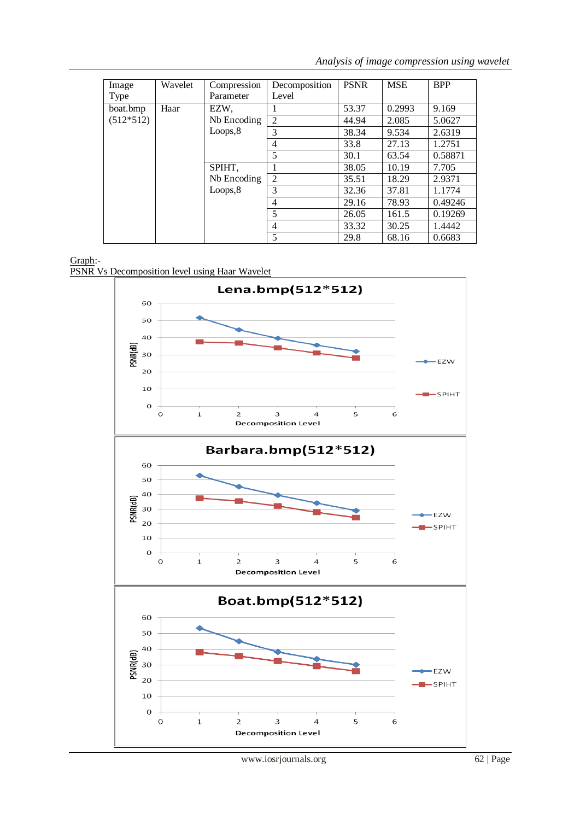*Analysis of image compression using wavelet*

| Image<br>Type | Wavelet | Compression<br>Parameter | Decomposition<br>Level | <b>PSNR</b> | <b>MSE</b> | <b>BPP</b> |
|---------------|---------|--------------------------|------------------------|-------------|------------|------------|
| boat.bmp      | Haar    | EZW.                     |                        | 53.37       | 0.2993     | 9.169      |
| $(512*512)$   |         | Nb Encoding              | $\overline{2}$         | 44.94       | 2.085      | 5.0627     |
|               |         | Loops, 8                 | 3                      | 38.34       | 9.534      | 2.6319     |
|               |         |                          | 4                      | 33.8        | 27.13      | 1.2751     |
|               |         |                          | 5                      | 30.1        | 63.54      | 0.58871    |
|               |         | SPIHT,                   |                        | 38.05       | 10.19      | 7.705      |
|               |         | Nb Encoding<br>Loops, 8  | 2                      | 35.51       | 18.29      | 2.9371     |
|               |         |                          | 3                      | 32.36       | 37.81      | 1.1774     |
|               |         |                          | 4                      | 29.16       | 78.93      | 0.49246    |
|               |         |                          | 5                      | 26.05       | 161.5      | 0.19269    |
|               |         |                          | 4                      | 33.32       | 30.25      | 1.4442     |
|               |         |                          | 5                      | 29.8        | 68.16      | 0.6683     |

# Graph:-

PSNR Vs Decomposition level using Haar Wavelet

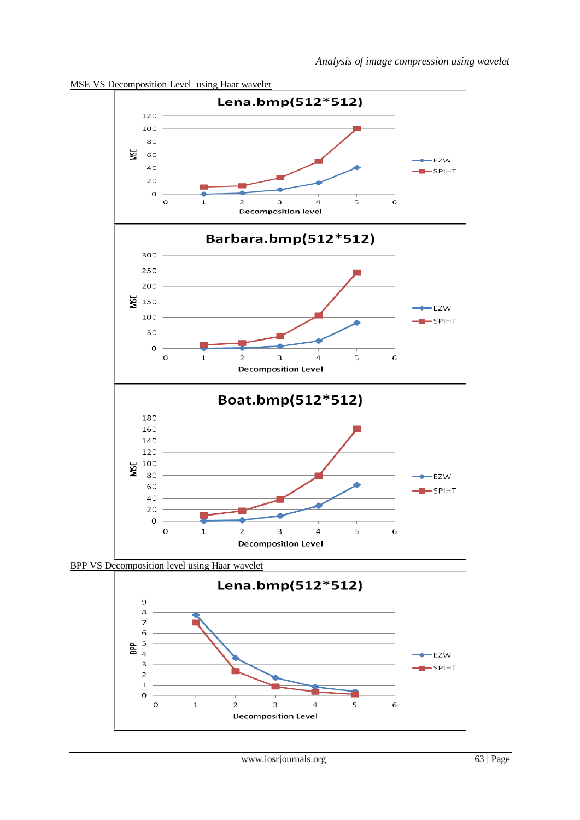